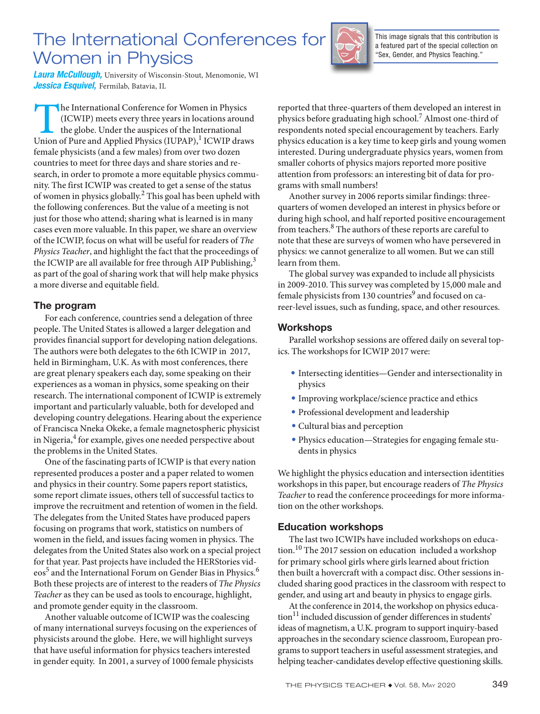# The International Conferences for Women in Physics



This image signals that this contribution is a featured part of the special collection on "Sex, Gender, and Physics Teaching."

*Laura McCullough,* University of Wisconsin-Stout, Menomonie, WI *Jessica Esquivel,* Fermilab, Batavia, IL

The International Conference for Women in Physics (ICWIP) meets every three years in locations around the globe. Under the auspices of the International Union of Pure and Applied Physics (IUPAP),<sup>1</sup> ICWIP draws (ICWIP) meets every three years in locations around the globe. Under the auspices of the International female physicists (and a few males) from over two dozen countries to meet for three days and share stories and research, in order to promote a more equitable physics community. The first ICWIP was created to get a sense of the status of women in physics globally.<sup>2</sup> This goal has been upheld with the following conferences. But the value of a meeting is not just for those who attend; sharing what is learned is in many cases even more valuable. In this paper, we share an overview of the ICWIP, focus on what will be useful for readers of *The Physics Teacher*, and highlight the fact that the proceedings of the ICWIP are all available for free through AIP Publishing,  $3$ as part of the goal of sharing work that will help make physics a more diverse and equitable field.

# The program

For each conference, countries send a delegation of three people. The United States is allowed a larger delegation and provides financial support for developing nation delegations. The authors were both delegates to the 6th ICWIP in 2017, held in Birmingham, U.K. As with most conferences, there are great plenary speakers each day, some speaking on their experiences as a woman in physics, some speaking on their research. The international component of ICWIP is extremely important and particularly valuable, both for developed and developing country delegations. Hearing about the experience of Francisca Nneka Okeke, a female magnetospheric physicist in Nigeria, $^4$  for example, gives one needed perspective about the problems in the United States.

One of the fascinating parts of ICWIP is that every nation represented produces a poster and a paper related to women and physics in their country. Some papers report statistics, some report climate issues, others tell of successful tactics to improve the recruitment and retention of women in the field. The delegates from the United States have produced papers focusing on programs that work, statistics on numbers of women in the field, and issues facing women in physics. The delegates from the United States also work on a special project for that year. Past projects have included the HERStories vid- $\mathrm{eos}^5$  and the International Forum on Gender Bias in Physics.  $^6$ Both these projects are of interest to the readers of *The Physics Teacher* as they can be used as tools to encourage, highlight, and promote gender equity in the classroom.

Another valuable outcome of ICWIP was the coalescing of many international surveys focusing on the experiences of physicists around the globe. Here, we will highlight surveys that have useful information for physics teachers interested in gender equity. In 2001, a survey of 1000 female physicists

reported that three-quarters of them developed an interest in physics before graduating high school.<sup>7</sup> Almost one-third of respondents noted special encouragement by teachers. Early physics education is a key time to keep girls and young women interested. During undergraduate physics years, women from smaller cohorts of physics majors reported more positive attention from professors: an interesting bit of data for programs with small numbers!

Another survey in 2006 reports similar findings: threequarters of women developed an interest in physics before or during high school, and half reported positive encouragement from teachers.<sup>8</sup> The authors of these reports are careful to note that these are surveys of women who have persevered in physics: we cannot generalize to all women. But we can still learn from them.

The global survey was expanded to include all physicists in 2009-2010. This survey was completed by 15,000 male and female physicists from 130 countries<sup>9</sup> and focused on career-level issues, such as funding, space, and other resources.

# Workshops

Parallel workshop sessions are offered daily on several topics. The workshops for ICWIP 2017 were:

- *•* Intersecting identities—Gender and intersectionality in physics
- Improving workplace/science practice and ethics
- *•* Professional development and leadership
- Cultural bias and perception
- *•* Physics education—Strategies for engaging female students in physics

We highlight the physics education and intersection identities workshops in this paper, but encourage readers of *The Physics Teacher* to read the conference proceedings for more information on the other workshops.

## Education workshops

The last two ICWIPs have included workshops on education.<sup>10</sup> The 2017 session on education included a workshop for primary school girls where girls learned about friction then built a hovercraft with a compact disc. Other sessions included sharing good practices in the classroom with respect to gender, and using art and beauty in physics to engage girls.

At the conference in 2014, the workshop on physics educa- $\text{tion}^{11}$  included discussion of gender differences in students' ideas of magnetism, a U.K. program to support inquiry-based approaches in the secondary science classroom, European programs to support teachers in useful assessment strategies, and helping teacher-candidates develop effective questioning skills.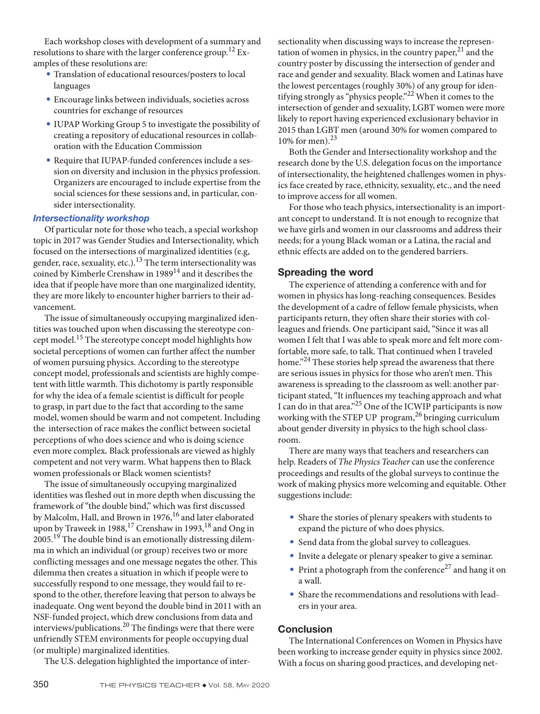Each workshop closes with development of a summary and resolutions to share with the larger conference group.<sup>12</sup> Examples of these resolutions are:

- *•* Translation of educational resources/posters to local languages
- *•* Encourage links between individuals, societies across countries for exchange of resources
- *•* IUPAP Working Group 5 to investigate the possibility of creating a repository of educational resources in collaboration with the Education Commission
- *•* Require that IUPAP-funded conferences include a session on diversity and inclusion in the physics profession. Organizers are encouraged to include expertise from the social sciences for these sessions and, in particular, consider intersectionality.

#### *Intersectionality workshop*

Of particular note for those who teach, a special workshop topic in 2017 was Gender Studies and Intersectionality, which focused on the intersections of marginalized identities (e.g, gender, race, sexuality, etc.). $^{13}$  The term intersectionality was coined by Kimberle Crenshaw in 1989<sup>14</sup> and it describes the idea that if people have more than one marginalized identity, they are more likely to encounter higher barriers to their advancement.

The issue of simultaneously occupying marginalized identities was touched upon when discussing the stereotype concept model.<sup>15</sup> The stereotype concept model highlights how societal perceptions of women can further affect the number of women pursuing physics. According to the stereotype concept model, professionals and scientists are highly competent with little warmth. This dichotomy is partly responsible for why the idea of a female scientist is difficult for people to grasp, in part due to the fact that according to the same model, women should be warm and not competent. Including the intersection of race makes the conflict between societal perceptions of who does science and who is doing science even more complex*.* Black professionals are viewed as highly competent and not very warm. What happens then to Black women professionals or Black women scientists?

The issue of simultaneously occupying marginalized identities was fleshed out in more depth when discussing the framework of "the double bind," which was first discussed by Malcolm, Hall, and Brown in 1976,<sup>16</sup> and later elaborated upon by Traweek in 1988,<sup>17</sup> Crenshaw in 1993,<sup>18</sup> and Ong in 2005.<sup>19</sup> The double bind is an emotionally distressing dilemma in which an individual (or group) receives two or more conflicting messages and one message negates the other. This dilemma then creates a situation in which if people were to successfully respond to one message, they would fail to respond to the other, therefore leaving that person to always be inadequate. Ong went beyond the double bind in 2011 with an NSF-funded project, which drew conclusions from data and interviews/publications.20 The findings were that there were unfriendly STEM environments for people occupying dual (or multiple) marginalized identities.

The U.S. delegation highlighted the importance of inter-

sectionality when discussing ways to increase the representation of women in physics, in the country paper, $2<sup>1</sup>$  and the country poster by discussing the intersection of gender and race and gender and sexuality. Black women and Latinas have the lowest percentages (roughly 30%) of any group for identifying strongly as "physics people."22 When it comes to the intersection of gender and sexuality, LGBT women were more likely to report having experienced exclusionary behavior in 2015 than LGBT men (around 30% for women compared to 10% for men). $^{23}$ 

Both the Gender and Intersectionality workshop and the research done by the U.S. delegation focus on the importance of intersectionality, the heightened challenges women in physics face created by race, ethnicity, sexuality, etc., and the need to improve access for all women.

For those who teach physics, intersectionality is an important concept to understand. It is not enough to recognize that we have girls and women in our classrooms and address their needs; for a young Black woman or a Latina, the racial and ethnic effects are added on to the gendered barriers.

### Spreading the word

The experience of attending a conference with and for women in physics has long-reaching consequences. Besides the development of a cadre of fellow female physicists, when participants return, they often share their stories with colleagues and friends. One participant said, "Since it was all women I felt that I was able to speak more and felt more comfortable, more safe, to talk. That continued when I traveled home."<sup>24</sup> These stories help spread the awareness that there are serious issues in physics for those who aren't men. This awareness is spreading to the classroom as well: another participant stated, "It influences my teaching approach and what I can do in that area."25 One of the ICWIP participants is now working with the STEP UP program,<sup>26</sup> bringing curriculum about gender diversity in physics to the high school classroom.

There are many ways that teachers and researchers can help. Readers of *The Physics Teacher* can use the conference proceedings and results of the global surveys to continue the work of making physics more welcoming and equitable. Other suggestions include:

- *•* Share the stories of plenary speakers with students to expand the picture of who does physics.
- *•* Send data from the global survey to colleagues.
- *•* Invite a delegate or plenary speaker to give a seminar.
- Print a photograph from the conference<sup>27</sup> and hang it on a wall.
- *•* Share the recommendations and resolutions with leaders in your area.

## **Conclusion**

The International Conferences on Women in Physics have been working to increase gender equity in physics since 2002. With a focus on sharing good practices, and developing net